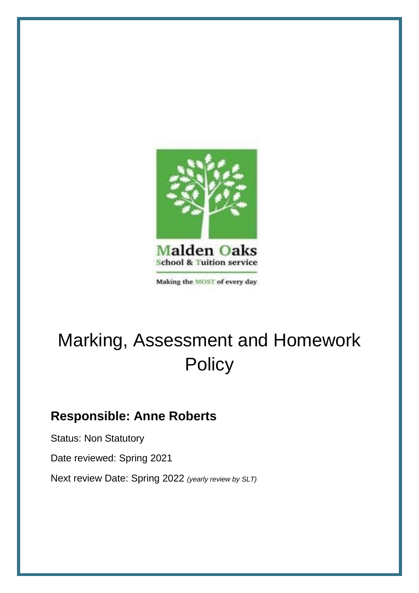

Making the MOST of every day

# Marking, Assessment and Homework **Policy**

# **Responsible: Anne Roberts**

Status: Non Statutory Date reviewed: Spring 2021 Next review Date: Spring 2022 *(yearly review by SLT)*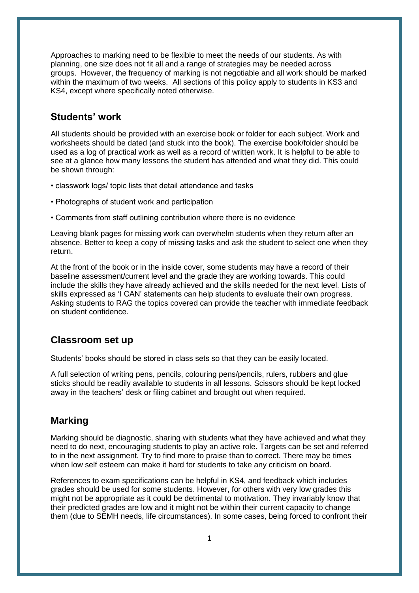Approaches to marking need to be flexible to meet the needs of our students. As with planning, one size does not fit all and a range of strategies may be needed across groups. However, the frequency of marking is not negotiable and all work should be marked within the maximum of two weeks. All sections of this policy apply to students in KS3 and KS4, except where specifically noted otherwise.

# **Students' work**

All students should be provided with an exercise book or folder for each subject. Work and worksheets should be dated (and stuck into the book). The exercise book/folder should be used as a log of practical work as well as a record of written work. It is helpful to be able to see at a glance how many lessons the student has attended and what they did. This could be shown through:

- classwork logs/ topic lists that detail attendance and tasks
- Photographs of student work and participation
- Comments from staff outlining contribution where there is no evidence

Leaving blank pages for missing work can overwhelm students when they return after an absence. Better to keep a copy of missing tasks and ask the student to select one when they return.

At the front of the book or in the inside cover, some students may have a record of their baseline assessment/current level and the grade they are working towards. This could include the skills they have already achieved and the skills needed for the next level. Lists of skills expressed as 'I CAN' statements can help students to evaluate their own progress. Asking students to RAG the topics covered can provide the teacher with immediate feedback on student confidence.

# **Classroom set up**

Students' books should be stored in class sets so that they can be easily located.

A full selection of writing pens, pencils, colouring pens/pencils, rulers, rubbers and glue sticks should be readily available to students in all lessons. Scissors should be kept locked away in the teachers' desk or filing cabinet and brought out when required.

# **Marking**

Marking should be diagnostic, sharing with students what they have achieved and what they need to do next, encouraging students to play an active role. Targets can be set and referred to in the next assignment. Try to find more to praise than to correct. There may be times when low self esteem can make it hard for students to take any criticism on board.

References to exam specifications can be helpful in KS4, and feedback which includes grades should be used for some students. However, for others with very low grades this might not be appropriate as it could be detrimental to motivation. They invariably know that their predicted grades are low and it might not be within their current capacity to change them (due to SEMH needs, life circumstances). In some cases, being forced to confront their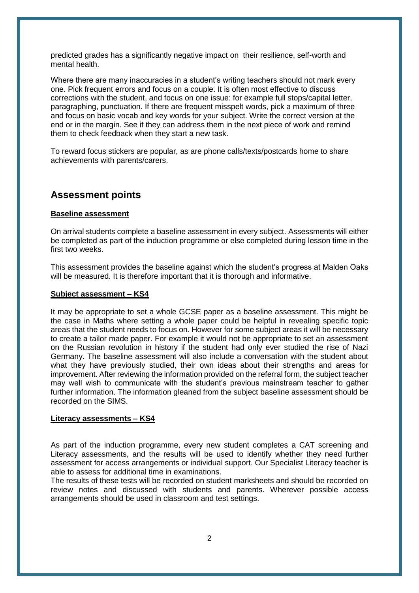predicted grades has a significantly negative impact on their resilience, self-worth and mental health.

Where there are many inaccuracies in a student's writing teachers should not mark every one. Pick frequent errors and focus on a couple. It is often most effective to discuss corrections with the student, and focus on one issue: for example full stops/capital letter, paragraphing, punctuation. If there are frequent misspelt words, pick a maximum of three and focus on basic vocab and key words for your subject. Write the correct version at the end or in the margin. See if they can address them in the next piece of work and remind them to check feedback when they start a new task.

To reward focus stickers are popular, as are phone calls/texts/postcards home to share achievements with parents/carers.

### **Assessment points**

#### **Baseline assessment**

On arrival students complete a baseline assessment in every subject. Assessments will either be completed as part of the induction programme or else completed during lesson time in the first two weeks.

This assessment provides the baseline against which the student's progress at Malden Oaks will be measured. It is therefore important that it is thorough and informative.

#### **Subject assessment – KS4**

It may be appropriate to set a whole GCSE paper as a baseline assessment. This might be the case in Maths where setting a whole paper could be helpful in revealing specific topic areas that the student needs to focus on. However for some subject areas it will be necessary to create a tailor made paper. For example it would not be appropriate to set an assessment on the Russian revolution in history if the student had only ever studied the rise of Nazi Germany. The baseline assessment will also include a conversation with the student about what they have previously studied, their own ideas about their strengths and areas for improvement. After reviewing the information provided on the referral form, the subject teacher may well wish to communicate with the student's previous mainstream teacher to gather further information. The information gleaned from the subject baseline assessment should be recorded on the SIMS.

#### **Literacy assessments – KS4**

As part of the induction programme, every new student completes a CAT screening and Literacy assessments, and the results will be used to identify whether they need further assessment for access arrangements or individual support. Our Specialist Literacy teacher is able to assess for additional time in examinations.

The results of these tests will be recorded on student marksheets and should be recorded on review notes and discussed with students and parents. Wherever possible access arrangements should be used in classroom and test settings.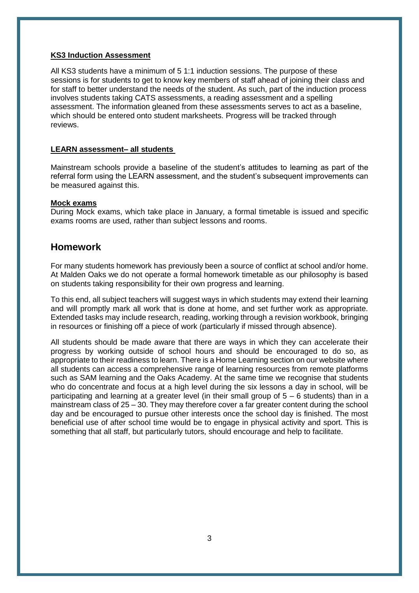#### **KS3 Induction Assessment**

All KS3 students have a minimum of 5 1:1 induction sessions. The purpose of these sessions is for students to get to know key members of staff ahead of joining their class and for staff to better understand the needs of the student. As such, part of the induction process involves students taking CATS assessments, a reading assessment and a spelling assessment. The information gleaned from these assessments serves to act as a baseline, which should be entered onto student marksheets. Progress will be tracked through reviews.

#### **LEARN assessment– all students**

Mainstream schools provide a baseline of the student's attitudes to learning as part of the referral form using the LEARN assessment, and the student's subsequent improvements can be measured against this.

#### **Mock exams**

During Mock exams, which take place in January, a formal timetable is issued and specific exams rooms are used, rather than subject lessons and rooms.

# **Homework**

For many students homework has previously been a source of conflict at school and/or home. At Malden Oaks we do not operate a formal homework timetable as our philosophy is based on students taking responsibility for their own progress and learning.

To this end, all subject teachers will suggest ways in which students may extend their learning and will promptly mark all work that is done at home, and set further work as appropriate. Extended tasks may include research, reading, working through a revision workbook, bringing in resources or finishing off a piece of work (particularly if missed through absence).

All students should be made aware that there are ways in which they can accelerate their progress by working outside of school hours and should be encouraged to do so, as appropriate to their readiness to learn. There is a Home Learning section on our website where all students can access a comprehensive range of learning resources from remote platforms such as SAM learning and the Oaks Academy. At the same time we recognise that students who do concentrate and focus at a high level during the six lessons a day in school, will be participating and learning at a greater level (in their small group of 5 – 6 students) than in a mainstream class of 25 – 30. They may therefore cover a far greater content during the school day and be encouraged to pursue other interests once the school day is finished. The most beneficial use of after school time would be to engage in physical activity and sport. This is something that all staff, but particularly tutors, should encourage and help to facilitate.